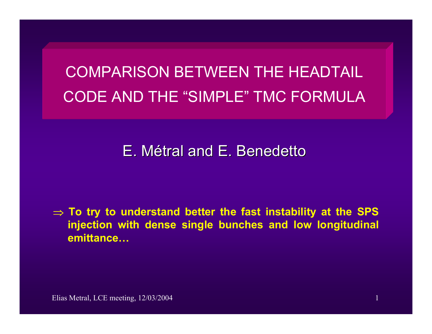# COMPARISON BETWEEN THE HEADTAIL CODE AND THE "SIMPLE" TMC FORMULA

## E. Métral and E. Benedetto

⇒ **To try to understand better the fast instability at the SPS injection with dense single bunches and low longitudinal emittance…**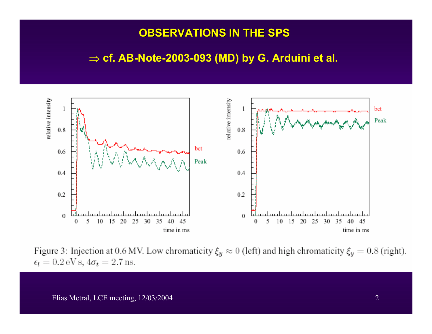#### **OBSERVATIONS IN OBSERVATIONS IN THE SPS THE SPS**

#### ⇒ **cf. AB-Note-2003-093 (MD) by G. Arduini et al.**



Figure 3: Injection at 0.6 MV. Low chromaticity  $\xi_y \approx 0$  (left) and high chromaticity  $\xi_y = 0.8$  (right).  $\epsilon_l = 0.2 \,\text{eV} \,\text{s}, 4\sigma_t = 2.7 \,\text{ns}.$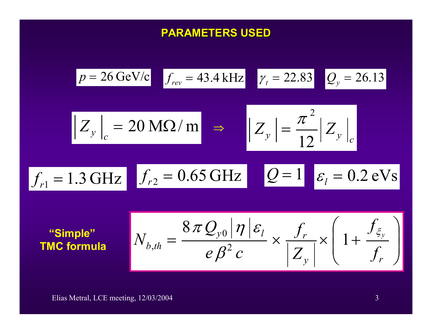### **PARAMETERS USED PARAMETERS USED**

$$
p = 26 \text{ GeV/c} \quad f_{rev} = 43.4 \text{ kHz} \quad \gamma_t = 22.83 \quad Q_y = 26.13
$$
\n
$$
|Z_y|_c = 20 \text{ M}\Omega/\text{m} \implies |Z_y| = \frac{\pi^2}{12} |Z_y|_c
$$
\n
$$
f_{r1} = 1.3 \text{ GHz} \quad f_{r2} = 0.65 \text{ GHz} \quad Q = 1 \quad \varepsilon_l = 0.2 \text{ eV s}
$$

$$
\text{``Simple''}\n\qquad\n\begin{aligned}\nN_{b,th} = \frac{8\pi Q_{y0} |\eta| \varepsilon_l}{e \beta^2 c} \times \frac{f_r}{|Z_y|} \times \left(1 + \frac{f_{\xi_y}}{f_r}\right)\n\end{aligned}
$$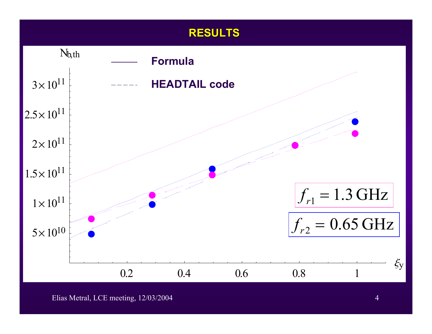#### **RESULTS RESULTS**

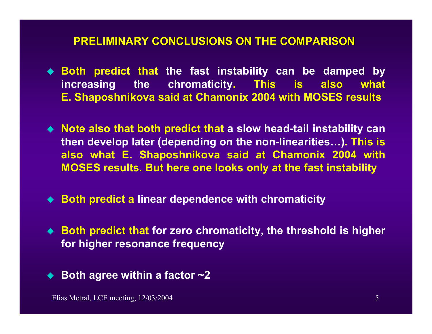#### **PRELIMINARY CONCLUSIONS PRELIMINARY CONCLUSIONS ON THE COMPARISON ON THE COMPARISON**

- **Both predict that the fast instability can be damped by increasing the chromaticity. This is also what E. Shaposhnikova said at Chamonix 2004 with MOSES results**
- **Note also that both predict that a slow head-tail instability can then develop later (depending on the non-linearities…). This is also what E. Shaposhnikova said at Chamonix 2004 with MOSES results. But here one looks only at the fast instability**
- ◆ Both predict a linear dependence with chromaticity
- ◆ Both predict that for zero chromaticity, the threshold is higher **for higher resonance frequency**
- ◆ Both agree within a factor **~2**